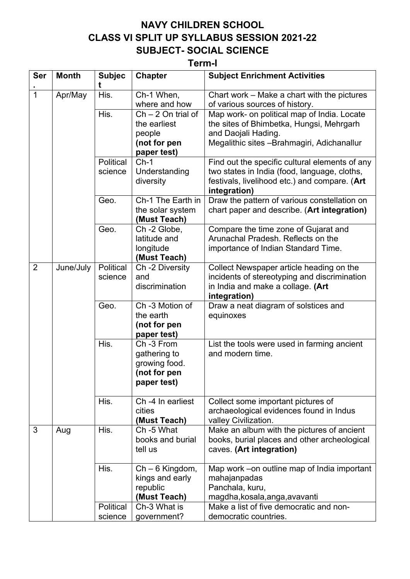## **NAVY CHILDREN SCHOOL CLASS VI SPLIT UP SYLLABUS SESSION 2021-22 SUBJECT- SOCIAL SCIENCE**

## **Term-I**

| <b>Ser</b>     | <b>Month</b> | <b>Subjec</b><br>t   | <b>Chapter</b>                                                                | <b>Subject Enrichment Activities</b>                                                                                                                         |
|----------------|--------------|----------------------|-------------------------------------------------------------------------------|--------------------------------------------------------------------------------------------------------------------------------------------------------------|
| $\overline{1}$ | Apr/May      | His.                 | Ch-1 When,<br>where and how                                                   | Chart work – Make a chart with the pictures<br>of various sources of history.                                                                                |
|                |              | His.                 | $Ch - 2 On trial of$<br>the earliest<br>people<br>(not for pen<br>paper test) | Map work- on political map of India. Locate<br>the sites of Bhimbetka, Hungsi, Mehrgarh<br>and Daojali Hading.<br>Megalithic sites -Brahmagiri, Adichanallur |
|                |              | Political            | $Ch-1$                                                                        | Find out the specific cultural elements of any                                                                                                               |
|                |              | science              | Understanding<br>diversity                                                    | two states in India (food, language, cloths,<br>festivals, livelihood etc.) and compare. (Art<br>integration)                                                |
|                |              | Geo.                 | Ch-1 The Earth in<br>the solar system<br>(Must Teach)                         | Draw the pattern of various constellation on<br>chart paper and describe. (Art integration)                                                                  |
|                |              | Geo.                 | Ch -2 Globe,<br>latitude and<br>longitude<br>(Must Teach)                     | Compare the time zone of Gujarat and<br>Arunachal Pradesh. Reflects on the<br>importance of Indian Standard Time.                                            |
| $\overline{2}$ | June/July    | Political<br>science | Ch -2 Diversity<br>and<br>discrimination                                      | Collect Newspaper article heading on the<br>incidents of stereotyping and discrimination<br>in India and make a collage. (Art<br>integration)                |
|                |              | Geo.                 | Ch -3 Motion of<br>the earth<br>(not for pen<br>paper test)                   | Draw a neat diagram of solstices and<br>equinoxes                                                                                                            |
|                |              | His.                 | Ch-3 From<br>gathering to<br>growing food.<br>(not for pen<br>paper test)     | List the tools were used in farming ancient<br>and modern time.                                                                                              |
|                |              | His.                 | Ch -4 In earliest<br>cities<br>(Must Teach)                                   | Collect some important pictures of<br>archaeological evidences found in Indus<br>valley Civilization.                                                        |
| 3              | Aug          | His.                 | Ch -5 What<br>books and burial<br>tell us                                     | Make an album with the pictures of ancient<br>books, burial places and other archeological<br>caves. (Art integration)                                       |
|                |              | His.                 | Ch - 6 Kingdom,<br>kings and early<br>republic<br>(Must Teach)                | Map work – on outline map of India important<br>mahajanpadas<br>Panchala, kuru,<br>magdha, kosala, anga, avavanti                                            |
|                |              | Political<br>science | Ch-3 What is<br>government?                                                   | Make a list of five democratic and non-<br>democratic countries.                                                                                             |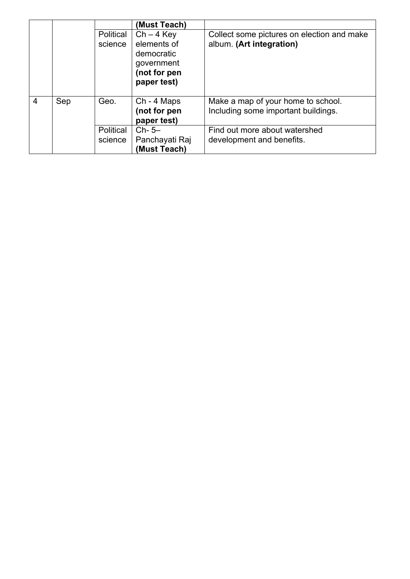|                |     |           | (Must Teach)                                                           |                                                                           |
|----------------|-----|-----------|------------------------------------------------------------------------|---------------------------------------------------------------------------|
|                |     | Political | $Ch - 4$ Key                                                           | Collect some pictures on election and make                                |
|                |     | science   | elements of<br>democratic<br>government<br>(not for pen<br>paper test) | album. (Art integration)                                                  |
| $\overline{4}$ | Sep | Geo.      | Ch - 4 Maps<br>(not for pen<br>paper test)                             | Make a map of your home to school.<br>Including some important buildings. |
|                |     | Political | $Ch-5-$                                                                | Find out more about watershed                                             |
|                |     | science   | Panchayati Raj                                                         | development and benefits.                                                 |
|                |     |           | (Must Teach)                                                           |                                                                           |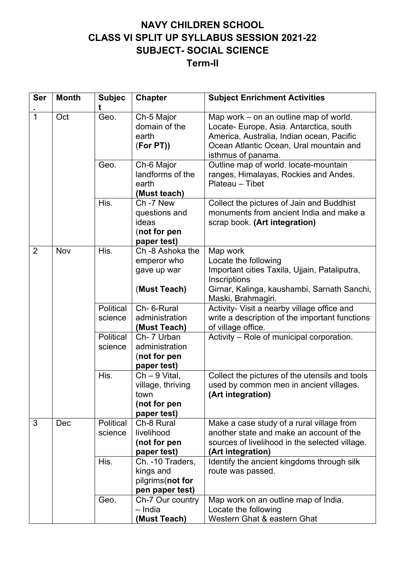## **NAVY CHILDREN SCHOOL CLASS VI SPLIT UP SYLLABUS SESSION 2021-22 SUBJECT- SOCIAL SCIENCE Term-II**

| <b>Ser</b>     | <b>Month</b> | <b>Subjec</b><br>t   | <b>Chapter</b>                                                              | <b>Subject Enrichment Activities</b>                                                                                                                                                            |
|----------------|--------------|----------------------|-----------------------------------------------------------------------------|-------------------------------------------------------------------------------------------------------------------------------------------------------------------------------------------------|
| $\overline{1}$ | Oct          | Geo.                 | Ch-5 Major<br>domain of the<br>earth<br>(For PT)                            | Map work – on an outline map of world.<br>Locate- Europe, Asia. Antarctica, south<br>America, Australia, Indian ocean, Pacific<br>Ocean Atlantic Ocean, Ural mountain and<br>isthmus of panama. |
|                |              | Geo.                 | Ch-6 Major<br>landforms of the<br>earth<br>(Must teach)                     | Outline map of world. locate-mountain<br>ranges, Himalayas, Rockies and Andes.<br>Plateau - Tibet                                                                                               |
|                |              | His.                 | Ch-7 New<br>questions and<br>ideas<br>(not for pen<br>paper test)           | Collect the pictures of Jain and Buddhist<br>monuments from ancient India and make a<br>scrap book. (Art integration)                                                                           |
| $\overline{2}$ | Nov          | His.                 | Ch -8 Ashoka the<br>emperor who<br>gave up war<br>(Must Teach)              | Map work<br>Locate the following<br>Important cities Taxila, Ujjain, Pataliputra,<br>Inscriptions<br>Girnar, Kalinga, kaushambi, Sarnath Sanchi,<br>Maski, Brahmagiri.                          |
|                |              | Political<br>science | Ch- 6-Rural<br>administration<br>(Must Teach)                               | Activity- Visit a nearby village office and<br>write a description of the important functions<br>of village office.                                                                             |
|                |              | Political<br>science | Ch- 7 Urban<br>administration<br>(not for pen<br>paper test)                | Activity - Role of municipal corporation.                                                                                                                                                       |
|                |              | His.                 | $Ch - 9$ Vital,<br>village, thriving<br>town<br>(not for pen<br>paper test) | Collect the pictures of the utensils and tools<br>used by common men in ancient villages.<br>(Art integration)                                                                                  |
| 3              | Dec          | Political<br>science | Ch-8 Rural<br>livelihood<br>(not for pen<br>paper test)                     | Make a case study of a rural village from<br>another state and make an account of the<br>sources of livelihood in the selected village.<br>(Art integration)                                    |
|                |              | His.                 | Ch. -10 Traders,<br>kings and<br>pilgrims(not for<br>pen paper test)        | Identify the ancient kingdoms through silk<br>route was passed.                                                                                                                                 |
|                |              | Geo.                 | Ch-7 Our country<br>- India<br>(Must Teach)                                 | Map work on an outline map of India.<br>Locate the following<br>Western Ghat & eastern Ghat                                                                                                     |